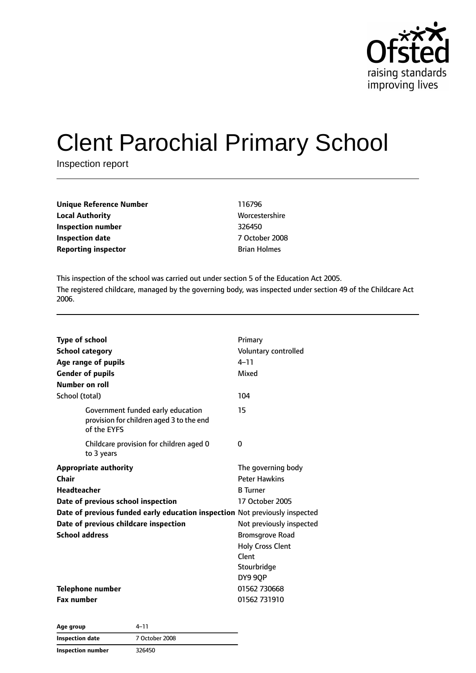

# Clent Parochial Primary School

Inspection report

| <b>Unique Reference Number</b> | 116796              |
|--------------------------------|---------------------|
| <b>Local Authority</b>         | Worcestershire      |
| Inspection number              | 326450              |
| <b>Inspection date</b>         | 7 October 2008      |
| <b>Reporting inspector</b>     | <b>Brian Holmes</b> |
|                                |                     |

This inspection of the school was carried out under section 5 of the Education Act 2005. The registered childcare, managed by the governing body, was inspected under section 49 of the Childcare Act 2006.

| Type of school<br><b>School category</b><br>Age range of pupils<br><b>Gender of pupils</b><br>Number on roll | Primary<br>Voluntary controlled<br>$4 - 11$<br>Mixed |
|--------------------------------------------------------------------------------------------------------------|------------------------------------------------------|
| School (total)                                                                                               | 104                                                  |
| Government funded early education<br>provision for children aged 3 to the end<br>of the EYFS                 | 15                                                   |
| Childcare provision for children aged 0<br>to 3 years                                                        | 0                                                    |
| <b>Appropriate authority</b>                                                                                 | The governing body                                   |
| Chair                                                                                                        | <b>Peter Hawkins</b>                                 |
| <b>Headteacher</b>                                                                                           | <b>B</b> Turner                                      |
| Date of previous school inspection                                                                           | 17 October 2005                                      |
| Date of previous funded early education inspection Not previously inspected                                  |                                                      |
| Date of previous childcare inspection                                                                        | Not previously inspected                             |
| <b>School address</b>                                                                                        | <b>Bromsgrove Road</b>                               |
|                                                                                                              | <b>Holy Cross Clent</b>                              |
|                                                                                                              | Clent                                                |
|                                                                                                              | Stourbridge                                          |
|                                                                                                              | DY9 9QP                                              |
| <b>Telephone number</b>                                                                                      | 01562 730668                                         |
| <b>Fax number</b>                                                                                            | 01562 731910                                         |

| Age group                | 4–11           |  |
|--------------------------|----------------|--|
| Inspection date          | 7 October 2008 |  |
| <b>Inspection number</b> | 326450         |  |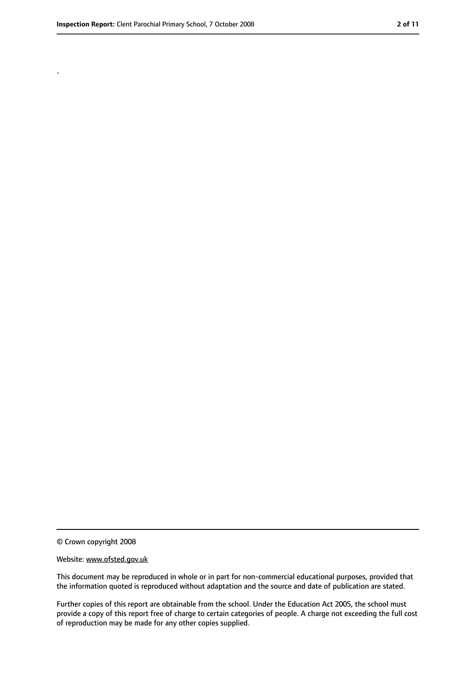.

<sup>©</sup> Crown copyright 2008

Website: www.ofsted.gov.uk

This document may be reproduced in whole or in part for non-commercial educational purposes, provided that the information quoted is reproduced without adaptation and the source and date of publication are stated.

Further copies of this report are obtainable from the school. Under the Education Act 2005, the school must provide a copy of this report free of charge to certain categories of people. A charge not exceeding the full cost of reproduction may be made for any other copies supplied.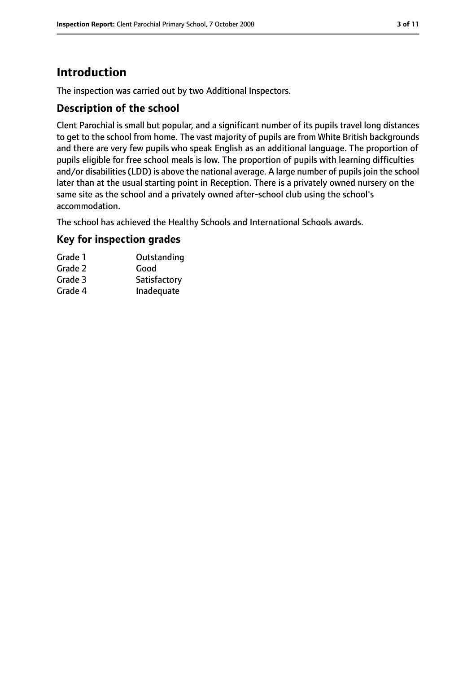# **Introduction**

The inspection was carried out by two Additional Inspectors.

#### **Description of the school**

Clent Parochial is small but popular, and a significant number of its pupils travel long distances to get to the school from home. The vast majority of pupils are from White British backgrounds and there are very few pupils who speak English as an additional language. The proportion of pupils eligible for free school meals is low. The proportion of pupils with learning difficulties and/or disabilities (LDD) is above the national average. A large number of pupils join the school later than at the usual starting point in Reception. There is a privately owned nursery on the same site as the school and a privately owned after-school club using the school's accommodation.

The school has achieved the Healthy Schools and International Schools awards.

#### **Key for inspection grades**

| Grade 1 | Outstanding  |
|---------|--------------|
| Grade 2 | Good         |
| Grade 3 | Satisfactory |
| Grade 4 | Inadequate   |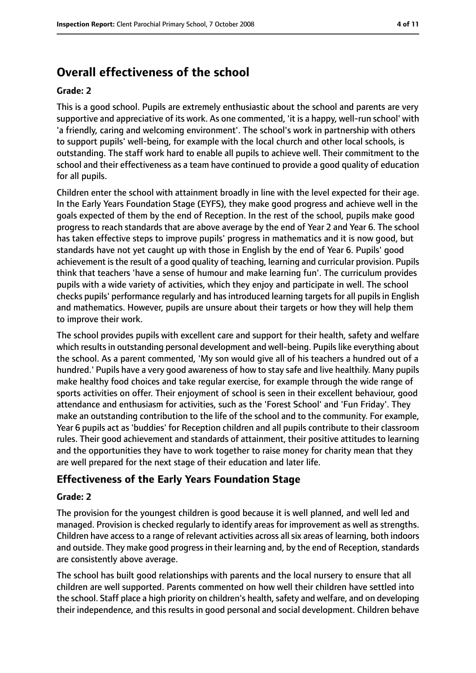# **Overall effectiveness of the school**

#### **Grade: 2**

This is a good school. Pupils are extremely enthusiastic about the school and parents are very supportive and appreciative of its work. As one commented, 'it is a happy, well-run school' with 'a friendly, caring and welcoming environment'. The school's work in partnership with others to support pupils' well-being, for example with the local church and other local schools, is outstanding. The staff work hard to enable all pupils to achieve well. Their commitment to the school and their effectiveness as a team have continued to provide a good quality of education for all pupils.

Children enter the school with attainment broadly in line with the level expected for their age. In the Early Years Foundation Stage (EYFS), they make good progress and achieve well in the goals expected of them by the end of Reception. In the rest of the school, pupils make good progress to reach standards that are above average by the end of Year 2 and Year 6. The school has taken effective steps to improve pupils' progress in mathematics and it is now good, but standards have not yet caught up with those in English by the end of Year 6. Pupils' good achievement isthe result of a good quality of teaching, learning and curricular provision. Pupils think that teachers 'have a sense of humour and make learning fun'. The curriculum provides pupils with a wide variety of activities, which they enjoy and participate in well. The school checks pupils' performance regularly and has introduced learning targetsfor all pupils in English and mathematics. However, pupils are unsure about their targets or how they will help them to improve their work.

The school provides pupils with excellent care and support for their health, safety and welfare which results in outstanding personal development and well-being. Pupils like everything about the school. As a parent commented, 'My son would give all of his teachers a hundred out of a hundred.' Pupils have a very good awareness of how to stay safe and live healthily. Many pupils make healthy food choices and take regular exercise, for example through the wide range of sports activities on offer. Their enjoyment of school is seen in their excellent behaviour, good attendance and enthusiasm for activities, such as the 'Forest School' and 'Fun Friday'. They make an outstanding contribution to the life of the school and to the community. For example, Year 6 pupils act as 'buddies' for Reception children and all pupils contribute to their classroom rules. Their good achievement and standards of attainment, their positive attitudes to learning and the opportunities they have to work together to raise money for charity mean that they are well prepared for the next stage of their education and later life.

#### **Effectiveness of the Early Years Foundation Stage**

#### **Grade: 2**

The provision for the youngest children is good because it is well planned, and well led and managed. Provision is checked regularly to identify areas for improvement as well as strengths. Children have access to a range of relevant activities across all six areas of learning, both indoors and outside. They make good progress in their learning and, by the end of Reception, standards are consistently above average.

The school has built good relationships with parents and the local nursery to ensure that all children are well supported. Parents commented on how well their children have settled into the school. Staff place a high priority on children's health, safety and welfare, and on developing their independence, and this results in good personal and social development. Children behave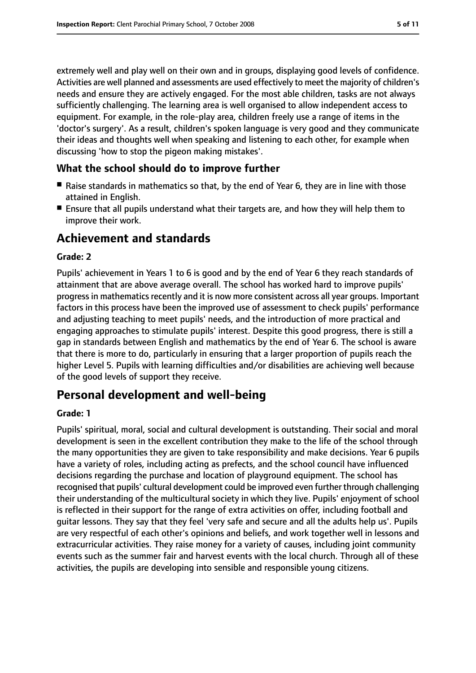extremely well and play well on their own and in groups, displaying good levels of confidence. Activities are well planned and assessments are used effectively to meet the majority of children's needs and ensure they are actively engaged. For the most able children, tasks are not always sufficiently challenging. The learning area is well organised to allow independent access to equipment. For example, in the role-play area, children freely use a range of items in the 'doctor's surgery'. As a result, children's spoken language is very good and they communicate their ideas and thoughts well when speaking and listening to each other, for example when discussing 'how to stop the pigeon making mistakes'.

#### **What the school should do to improve further**

- Raise standards in mathematics so that, by the end of Year 6, they are in line with those attained in English.
- Ensure that all pupils understand what their targets are, and how they will help them to improve their work.

### **Achievement and standards**

#### **Grade: 2**

Pupils' achievement in Years 1 to 6 is good and by the end of Year 6 they reach standards of attainment that are above average overall. The school has worked hard to improve pupils' progress in mathematics recently and it is now more consistent across all year groups. Important factors in this process have been the improved use of assessment to check pupils' performance and adjusting teaching to meet pupils' needs, and the introduction of more practical and engaging approaches to stimulate pupils' interest. Despite this good progress, there is still a gap in standards between English and mathematics by the end of Year 6. The school is aware that there is more to do, particularly in ensuring that a larger proportion of pupils reach the higher Level 5. Pupils with learning difficulties and/or disabilities are achieving well because of the good levels of support they receive.

### **Personal development and well-being**

#### **Grade: 1**

Pupils' spiritual, moral, social and cultural development is outstanding. Their social and moral development is seen in the excellent contribution they make to the life of the school through the many opportunities they are given to take responsibility and make decisions. Year 6 pupils have a variety of roles, including acting as prefects, and the school council have influenced decisions regarding the purchase and location of playground equipment. The school has recognised that pupils' cultural development could be improved even further through challenging their understanding of the multicultural society in which they live. Pupils' enjoyment of school is reflected in their support for the range of extra activities on offer, including football and guitar lessons. They say that they feel 'very safe and secure and all the adults help us'. Pupils are very respectful of each other's opinions and beliefs, and work together well in lessons and extracurricular activities. They raise money for a variety of causes, including joint community events such as the summer fair and harvest events with the local church. Through all of these activities, the pupils are developing into sensible and responsible young citizens.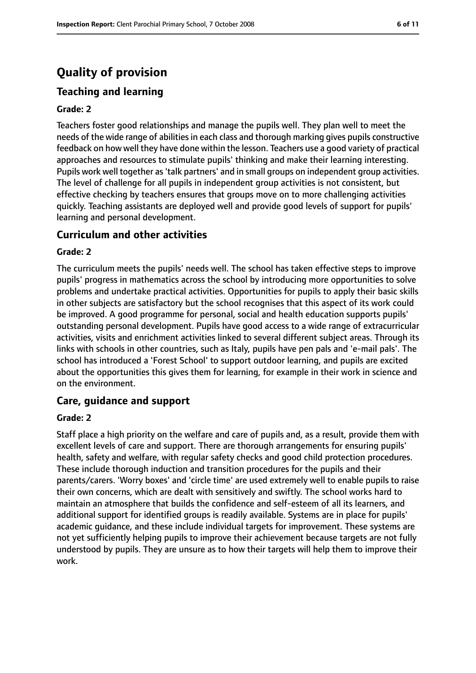# **Quality of provision**

#### **Teaching and learning**

#### **Grade: 2**

Teachers foster good relationships and manage the pupils well. They plan well to meet the needs of the wide range of abilities in each class and thorough marking gives pupils constructive feedback on how well they have done within the lesson. Teachers use a good variety of practical approaches and resources to stimulate pupils' thinking and make their learning interesting. Pupils work well together as 'talk partners' and in small groups on independent group activities. The level of challenge for all pupils in independent group activities is not consistent, but effective checking by teachers ensures that groups move on to more challenging activities quickly. Teaching assistants are deployed well and provide good levels of support for pupils' learning and personal development.

#### **Curriculum and other activities**

#### **Grade: 2**

The curriculum meets the pupils' needs well. The school has taken effective steps to improve pupils' progress in mathematics across the school by introducing more opportunities to solve problems and undertake practical activities. Opportunities for pupils to apply their basic skills in other subjects are satisfactory but the school recognises that this aspect of its work could be improved. A good programme for personal, social and health education supports pupils' outstanding personal development. Pupils have good access to a wide range of extracurricular activities, visits and enrichment activities linked to several different subject areas. Through its links with schools in other countries, such as Italy, pupils have pen pals and 'e-mail pals'. The school has introduced a 'Forest School' to support outdoor learning, and pupils are excited about the opportunities this gives them for learning, for example in their work in science and on the environment.

#### **Care, guidance and support**

#### **Grade: 2**

Staff place a high priority on the welfare and care of pupils and, as a result, provide them with excellent levels of care and support. There are thorough arrangements for ensuring pupils' health, safety and welfare, with regular safety checks and good child protection procedures. These include thorough induction and transition procedures for the pupils and their parents/carers. 'Worry boxes' and 'circle time' are used extremely well to enable pupils to raise their own concerns, which are dealt with sensitively and swiftly. The school works hard to maintain an atmosphere that builds the confidence and self-esteem of all its learners, and additional support for identified groups is readily available. Systems are in place for pupils' academic guidance, and these include individual targets for improvement. These systems are not yet sufficiently helping pupils to improve their achievement because targets are not fully understood by pupils. They are unsure as to how their targets will help them to improve their work.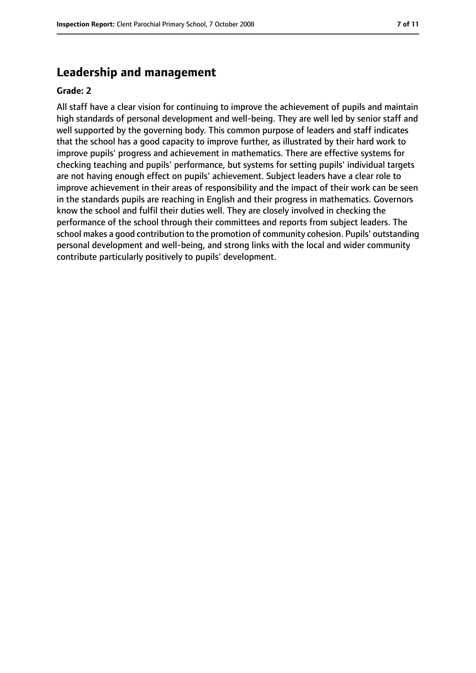#### **Leadership and management**

#### **Grade: 2**

All staff have a clear vision for continuing to improve the achievement of pupils and maintain high standards of personal development and well-being. They are well led by senior staff and well supported by the governing body. This common purpose of leaders and staff indicates that the school has a good capacity to improve further, as illustrated by their hard work to improve pupils' progress and achievement in mathematics. There are effective systems for checking teaching and pupils' performance, but systems for setting pupils' individual targets are not having enough effect on pupils' achievement. Subject leaders have a clear role to improve achievement in their areas of responsibility and the impact of their work can be seen in the standards pupils are reaching in English and their progress in mathematics. Governors know the school and fulfil their duties well. They are closely involved in checking the performance of the school through their committees and reports from subject leaders. The school makes a good contribution to the promotion of community cohesion. Pupils' outstanding personal development and well-being, and strong links with the local and wider community contribute particularly positively to pupils' development.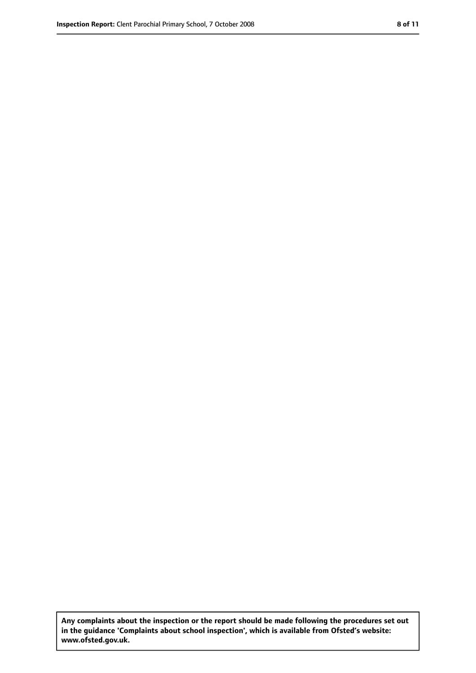**Any complaints about the inspection or the report should be made following the procedures set out in the guidance 'Complaints about school inspection', which is available from Ofsted's website: www.ofsted.gov.uk.**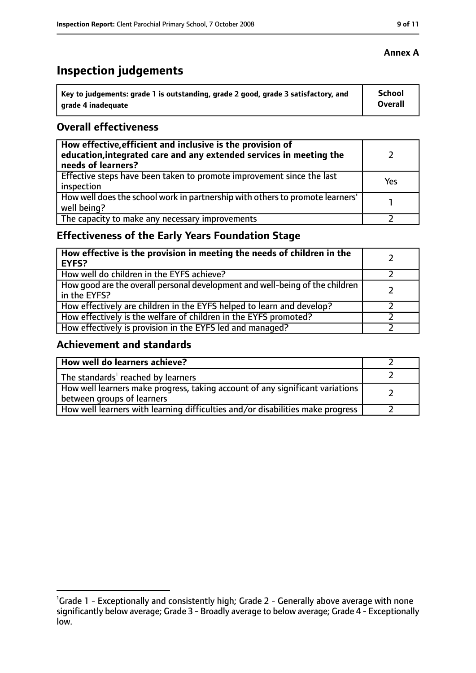# **Inspection judgements**

| $^{\rm t}$ Key to judgements: grade 1 is outstanding, grade 2 good, grade 3 satisfactory, and | School         |
|-----------------------------------------------------------------------------------------------|----------------|
| arade 4 inadequate                                                                            | <b>Overall</b> |

#### **Overall effectiveness**

| How effective, efficient and inclusive is the provision of<br>education, integrated care and any extended services in meeting the<br>needs of learners? |     |
|---------------------------------------------------------------------------------------------------------------------------------------------------------|-----|
| Effective steps have been taken to promote improvement since the last<br>inspection                                                                     | Yes |
| How well does the school work in partnership with others to promote learners'<br>well being?                                                            |     |
| The capacity to make any necessary improvements                                                                                                         |     |

### **Effectiveness of the Early Years Foundation Stage**

| How effective is the provision in meeting the needs of children in the<br><b>EYFS?</b>       |  |
|----------------------------------------------------------------------------------------------|--|
| How well do children in the EYFS achieve?                                                    |  |
| How good are the overall personal development and well-being of the children<br>in the EYFS? |  |
| How effectively are children in the EYFS helped to learn and develop?                        |  |
| How effectively is the welfare of children in the EYFS promoted?                             |  |
| How effectively is provision in the EYFS led and managed?                                    |  |

#### **Achievement and standards**

| How well do learners achieve?                                                                               |  |
|-------------------------------------------------------------------------------------------------------------|--|
| The standards <sup>1</sup> reached by learners                                                              |  |
| How well learners make progress, taking account of any significant variations<br>between groups of learners |  |
| How well learners with learning difficulties and/or disabilities make progress                              |  |

#### **Annex A**

<sup>&</sup>lt;sup>1</sup>Grade 1 - Exceptionally and consistently high; Grade 2 - Generally above average with none significantly below average; Grade 3 - Broadly average to below average; Grade 4 - Exceptionally low.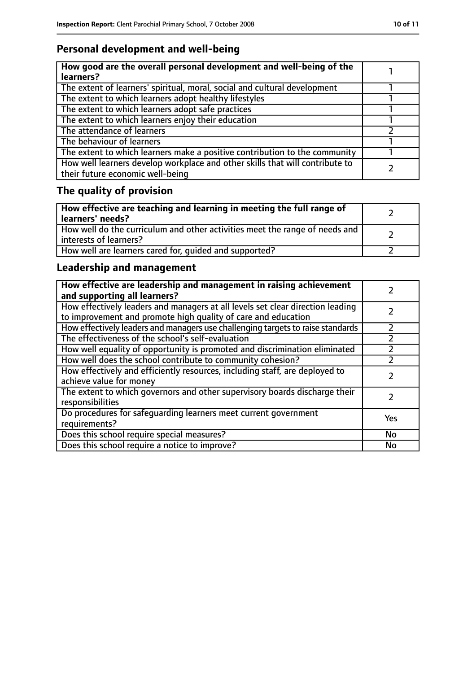### **Personal development and well-being**

| How good are the overall personal development and well-being of the<br>learners?                                 |  |
|------------------------------------------------------------------------------------------------------------------|--|
| The extent of learners' spiritual, moral, social and cultural development                                        |  |
| The extent to which learners adopt healthy lifestyles                                                            |  |
| The extent to which learners adopt safe practices                                                                |  |
| The extent to which learners enjoy their education                                                               |  |
| The attendance of learners                                                                                       |  |
| The behaviour of learners                                                                                        |  |
| The extent to which learners make a positive contribution to the community                                       |  |
| How well learners develop workplace and other skills that will contribute to<br>their future economic well-being |  |

# **The quality of provision**

| How effective are teaching and learning in meeting the full range of<br>learners' needs?              |  |
|-------------------------------------------------------------------------------------------------------|--|
| How well do the curriculum and other activities meet the range of needs and<br>interests of learners? |  |
| How well are learners cared for, quided and supported?                                                |  |

### **Leadership and management**

| How effective are leadership and management in raising achievement<br>and supporting all learners?                                              |           |
|-------------------------------------------------------------------------------------------------------------------------------------------------|-----------|
| How effectively leaders and managers at all levels set clear direction leading<br>to improvement and promote high quality of care and education |           |
| How effectively leaders and managers use challenging targets to raise standards                                                                 | フ         |
| The effectiveness of the school's self-evaluation                                                                                               |           |
| How well equality of opportunity is promoted and discrimination eliminated                                                                      |           |
| How well does the school contribute to community cohesion?                                                                                      |           |
| How effectively and efficiently resources, including staff, are deployed to<br>achieve value for money                                          |           |
| The extent to which governors and other supervisory boards discharge their<br>responsibilities                                                  |           |
| Do procedures for safequarding learners meet current government<br>requirements?                                                                | Yes       |
| Does this school require special measures?                                                                                                      | No        |
| Does this school require a notice to improve?                                                                                                   | <b>No</b> |